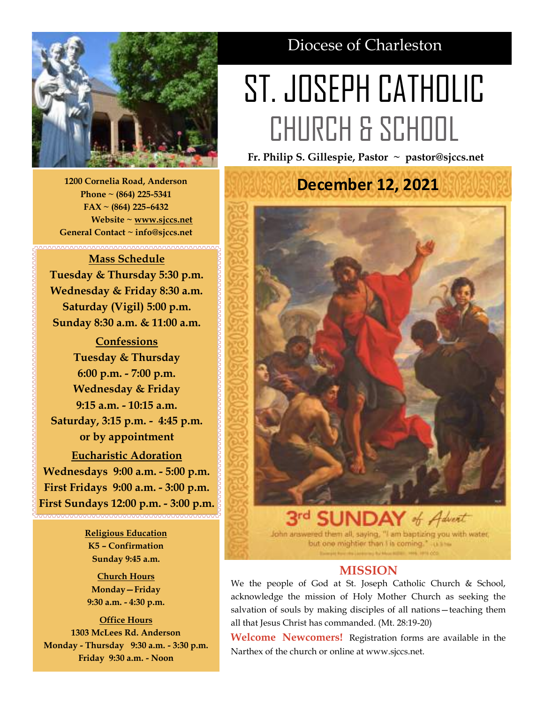

**1200 Cornelia Road, Anderson Phone ~ (864) 225-5341 FAX ~ (864) 225–6432 Website ~ [www.sjccs.net](http://www.sjccs.net) General Contact ~ info@sjccs.net**

# **Mass Schedule Tuesday & Thursday 5:30 p.m. Wednesday & Friday 8:30 a.m. Saturday (Vigil) 5:00 p.m. Sunday 8:30 a.m. & 11:00 a.m.**

**Confessions Tuesday & Thursday 6:00 p.m. - 7:00 p.m. Wednesday & Friday 9:15 a.m. - 10:15 a.m. Saturday, 3:15 p.m. - 4:45 p.m. or by appointment Eucharistic Adoration Wednesdays 9:00 a.m. - 5:00 p.m. First Fridays 9:00 a.m. - 3:00 p.m. First Sundays 12:00 p.m. - 3:00 p.m.**

> **Religious Education K5 – Confirmation Sunday 9:45 a.m.**

**Church Hours Monday—Friday 9:30 a.m. - 4:30 p.m.**

**Office Hours 1303 McLees Rd. Anderson Monday - Thursday 9:30 a.m. - 3:30 p.m. Friday 9:30 a.m. - Noon**

# Diocese of Charleston

# ST. JOSEPH CATHOLIC CHURCH & SCHOOL

**Fr. Philip S. Gillespie, Pastor ~ pastor@sjccs.net**

**December 12, 2021**of Advert

John answered them all, saying, "I am baptizing you with water, but one mightier than I is coming." uses

# **MISSION**

We the people of God at St. Joseph Catholic Church & School, acknowledge the mission of Holy Mother Church as seeking the salvation of souls by making disciples of all nations—teaching them all that Jesus Christ has commanded. (Mt. 28:19-20)

**Welcome Newcomers!** Registration forms are available in the Narthex of the church or online at www.sjccs.net.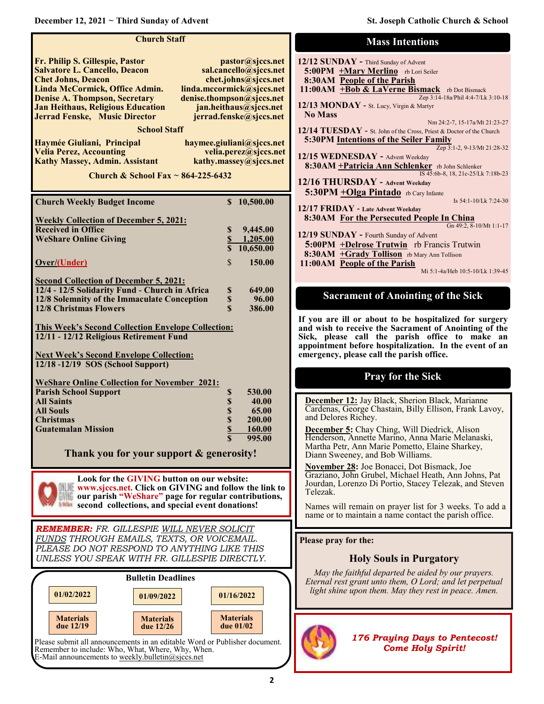**December 12, 2021 ~ Third Sunday of Advent St. Joseph Catholic Church & School** 

| <b>Church Staff</b>                                                                                                                                                                                                                                                                                                                                                                                                                                                                                                                                                                                                                                                                                                                                                                                                                                                     |                                                                                                                                                                                                                                                          |
|-------------------------------------------------------------------------------------------------------------------------------------------------------------------------------------------------------------------------------------------------------------------------------------------------------------------------------------------------------------------------------------------------------------------------------------------------------------------------------------------------------------------------------------------------------------------------------------------------------------------------------------------------------------------------------------------------------------------------------------------------------------------------------------------------------------------------------------------------------------------------|----------------------------------------------------------------------------------------------------------------------------------------------------------------------------------------------------------------------------------------------------------|
| Fr. Philip S. Gillespie, Pastor<br>pastor@sjccs.net<br><b>Salvatore L. Cancello, Deacon</b><br>sal.cancello@sjccs.net<br><b>Chet Johns, Deacon</b><br>chet.johns@sjccs.net<br>Linda McCormick, Office Admin.<br>linda.mccormick@sjccs.net<br><b>Denise A. Thompson, Secretary</b><br>denise.thompson@sjccs.net<br><b>Jan Heithaus, Religious Education</b><br>jan.heithaus@sjccs.net<br><b>Jerrad Fenske, Music Director</b><br>jerrad.fenske@sjccs.net<br><b>School Staff</b><br>Haymée Giuliani, Principal<br>haymee.giuliani@sjccs.net<br><b>Velia Perez, Accounting</b><br>velia.perez@sjccs.net<br><b>Kathy Massey, Admin. Assistant</b><br>kathy.massey@sjccs.net<br>Church & School Fax $\sim$ 864-225-6432<br>\$10,500.00<br><b>Church Weekly Budget Income</b><br><b>Weekly Collection of December 5, 2021:</b><br><b>Received in Office</b><br>\$<br>9,445.00 | <b>12/12 SUNDAY</b><br>$5:00PM$ +Ma<br>8:30AM Peop<br>$11:00AM$ +Bo<br><b>12/13 MONDA</b><br><b>No Mass</b><br>12/14 TUESDA<br>5:30PM Inten<br><b>12/15 WEDNES</b><br>$8:30AM + Pat$<br><b>12/16 THURS</b><br>5:30PM +OI<br>$12/17$ FRIDAY<br>8:30AM For |
| $\overline{\mathbb{S}}$<br><b>WeShare Online Giving</b><br>1,205.00<br>$\overline{\$}$<br>10,650.00<br>\$<br>Over/(Under)<br>150.00                                                                                                                                                                                                                                                                                                                                                                                                                                                                                                                                                                                                                                                                                                                                     | 12/19 SUNDAY<br>$5:00PM$ +De<br>8:30AM +Gr<br>11:00AM Peop                                                                                                                                                                                               |
| <b>Second Collection of December 5, 2021:</b><br>12/4 - 12/5 Solidarity Fund - Church in Africa<br>649.00<br>\$<br>12/8 Solemnity of the Immaculate Conception<br>\$<br>96.00<br>$\mathbf S$<br><b>12/8 Christmas Flowers</b><br>386.00<br><b>This Week's Second Collection Envelope Collection:</b><br>12/11 - 12/12 Religious Retirement Fund<br><b>Next Week's Second Envelope Collection:</b><br>12/18 -12/19 SOS (School Support)                                                                                                                                                                                                                                                                                                                                                                                                                                  | Sacran<br>If you are ill o<br>and wish to red<br>Sick, please<br>appointment be<br>emergency, ple                                                                                                                                                        |
| <b>WeShare Online Collection for November 2021:</b><br><b>Parish School Support</b><br>\$<br>530.00<br>\$<br><b>All Saints</b><br>40.00<br>\$<br>\$<br><b>All Souls</b><br>65.00<br>200.00<br><b>Christmas</b><br>\$<br><b>Guatemalan Mission</b><br>160.00<br>995.00<br>\$.<br>Thank you for your support & generosity!                                                                                                                                                                                                                                                                                                                                                                                                                                                                                                                                                | December 12<br>Cardenas, Geo<br>and Delores R<br><b>December 5:</b><br>Henderson, A<br>Martha Petr, A<br>Diann Sweene<br>November 28                                                                                                                     |
| Look for the GIVING button on our website:<br>www.sjccs.net. Click on GIVING and follow the link to<br>our parish "WeShare" page for regular contributions,<br>second collections, and special event donations!                                                                                                                                                                                                                                                                                                                                                                                                                                                                                                                                                                                                                                                         | Graziano, Joh<br>Jourdan, Lorer<br>Telezak.<br>Names will re<br>name or to ma                                                                                                                                                                            |
| REMEMBER: FR. GILLESPIE WILL NEVER SOLICIT<br>FUNDS THROUGH EMAILS, TEXTS, OR VOICEMAIL.<br>PLEASE DO NOT RESPOND TO ANYTHING LIKE THIS<br>UNLESS YOU SPEAK WITH FR. GILLESPIE DIRECTLY.                                                                                                                                                                                                                                                                                                                                                                                                                                                                                                                                                                                                                                                                                | Please pray for<br>Н                                                                                                                                                                                                                                     |
| <b>Bulletin Deadlines</b><br>01/02/2022<br>01/16/2022<br>01/09/2022                                                                                                                                                                                                                                                                                                                                                                                                                                                                                                                                                                                                                                                                                                                                                                                                     | May the fair<br>Eternal rest gi<br>light shine up                                                                                                                                                                                                        |
| <b>Materials</b><br><b>Materials</b><br><b>Materials</b><br>due 01/02<br>due 12/19<br>due 12/26<br>Please submit all announcements in an editable Word or Publisher document.<br>Remember to include: Who, What, Where, Why, When.<br>E-Mail announcements to weekly.bulletin@sjccs.net                                                                                                                                                                                                                                                                                                                                                                                                                                                                                                                                                                                 |                                                                                                                                                                                                                                                          |

| <b>Mass Intentions</b>                                                                                                                                       |
|--------------------------------------------------------------------------------------------------------------------------------------------------------------|
| 12/12 SUNDAY - Third Sunday of Advent<br>5:00PM +Mary Merlino rb Lori Seiler<br>8:30AM People of the Parish<br>11:00AM +Bob & LaVerne Bismack rb Dot Bismack |
| Zep 3:14-18a/Phil 4:4-7/Lk 3:10-18<br>12/13 MONDAY - St. Lucy, Virgin & Martyr<br><b>No Mass</b><br>Nm 24:2-7, 15-17a/Mt 21:23-27                            |
| $12/14$ TUESDAY - St. John of the Cross, Priest & Doctor of the Church<br><b>5:30PM Intentions of the Seiler Family</b>                                      |
| Zep 3:1-2, 9-13/Mt 21:28-32<br>12/15 WEDNESDAY - Advent Weekday<br>8:30AM + Patricia Ann Schlenker rb John Schlenker<br>IS 45:6b-8, 18, 21c-25/Lk 7:18b-23   |
| $12/16$ THURSDAY - Advent Weekday<br>5:30PM + Olga Pintado rb Cary Infante                                                                                   |
| Is $54:1-10/Lk$ 7:24-30<br>12/17 FRIDAY - Late Advent Weekday<br>8:30AM For the Persecuted People In China<br>Gn 49:2, 8-10/Mt 1:1-17                        |
| 12/19 SUNDAY - Fourth Sunday of Advent<br>5:00PM +Delrose Trutwin rb Francis Trutwin                                                                         |
| 8:30AM +Grady Tollison rb Mary Ann Tollison<br>11:00AM People of the Parish<br>Mi 5:1-4a/Heb 10:5-10/Lk 1:39-45                                              |
| $\mathbf{c}$ in the set of $\mathbf{c}$<br>$\overline{1}$<br>$\sim \cdot$ $\blacksquare$<br>2<br>n                                                           |

**Sacrament of Anointing of the Sick**

**IF About to be hospitalized for surgery and wish to receive the Sacrament of Anointing of the**  call the parish office to make an efore hospitalization. In the event of an ase call the parish office.

# **Pray for the Sick**

 $\frac{1}{2}$  Jay Black, Sherion Black, Marianne orge Chastain, Billy Ellison, Frank Lavoy, lichey.

Chay Ching, Will Diedrick, Alison nnette Marino, Anna Marie Melanaski, Martha Petr, Ann Marie Pometto, Elaine Sharkey, Diann Sweeney, and Bob Williams.

**Example:** Joe Bonacci, Dot Bismack, Joe n Grubel, Michael Heath, Ann Johns, Pat nzo Di Portio, Stacey Telezak, and Steven

emain on prayer list for 3 weeks. To add a intain a name contact the parish office.

#### *P* **the:**

## **Holy Souls in Purgatory**

*May the faithful departed be aided by our prayers.*  rant unto them, O Lord; and let perpetual *pon them. May they rest in peace. Amen.* 



*176 Praying Days to Pentecost! Come Holy Spirit!*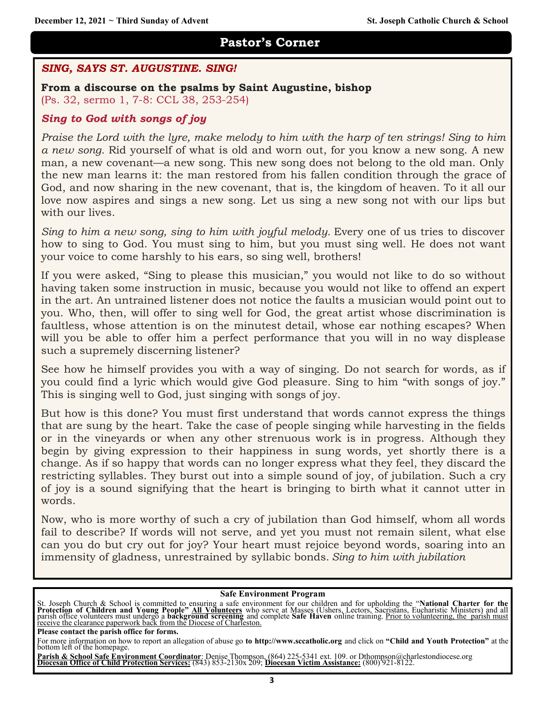# **Pastor's Corner**

# *SING, SAYS ST. AUGUSTINE. SING!*

**From a discourse on the psalms by Saint Augustine, bishop**

(Ps. 32, sermo 1, 7-8: CCL 38, 253-254)

# *Sing to God with songs of joy*

*Praise the Lord with the lyre, make melody to him with the harp of ten strings! Sing to him a new song.* Rid yourself of what is old and worn out, for you know a new song. A new man, a new covenant—a new song. This new song does not belong to the old man. Only the new man learns it: the man restored from his fallen condition through the grace of God, and now sharing in the new covenant, that is, the kingdom of heaven. To it all our love now aspires and sings a new song. Let us sing a new song not with our lips but with our lives.

*Sing to him a new song, sing to him with joyful melody.* Every one of us tries to discover how to sing to God. You must sing to him, but you must sing well. He does not want your voice to come harshly to his ears, so sing well, brothers!

If you were asked, "Sing to please this musician," you would not like to do so without having taken some instruction in music, because you would not like to offend an expert in the art. An untrained listener does not notice the faults a musician would point out to you. Who, then, will offer to sing well for God, the great artist whose discrimination is faultless, whose attention is on the minutest detail, whose ear nothing escapes? When will you be able to offer him a perfect performance that you will in no way displease such a supremely discerning listener?

See how he himself provides you with a way of singing. Do not search for words, as if you could find a lyric which would give God pleasure. Sing to him "with songs of joy." This is singing well to God, just singing with songs of joy.

But how is this done? You must first understand that words cannot express the things that are sung by the heart. Take the case of people singing while harvesting in the fields or in the vineyards or when any other strenuous work is in progress. Although they begin by giving expression to their happiness in sung words, yet shortly there is a change. As if so happy that words can no longer express what they feel, they discard the restricting syllables. They burst out into a simple sound of joy, of jubilation. Such a cry of joy is a sound signifying that the heart is bringing to birth what it cannot utter in words.

Now, who is more worthy of such a cry of jubilation than God himself, whom all words fail to describe? If words will not serve, and yet you must not remain silent, what else can you do but cry out for joy? Your heart must rejoice beyond words, soaring into an immensity of gladness, unrestrained by syllabic bonds. *Sing to him with jubilation*

#### **Safe Environment Program**

St. Joseph Church & School is committed to ensuring a safe environment for our children and for upholding the "National Charter for the<br>Protection of Children and Young People" All Volunteers who serve at Masses (Ushers, L receive the clearance paperwork back from the Diocese of Charleston.

**Please contact the parish office for forms.** 

Parish & School Safe Environment Coordinator: Denise Thompson, (864) 225-5341 ext. 109. or Dthompson@charlestondiocese.org<br>Diocesan Office of Child Protection Services: (843) 853-2130x 209; Diocesan Victim Assistance: (800

For more information on how to report an allegation of abuse go **to http://www.sccatholic.org** and click on **"Child and Youth Protection"** at the bottom left of the homepage.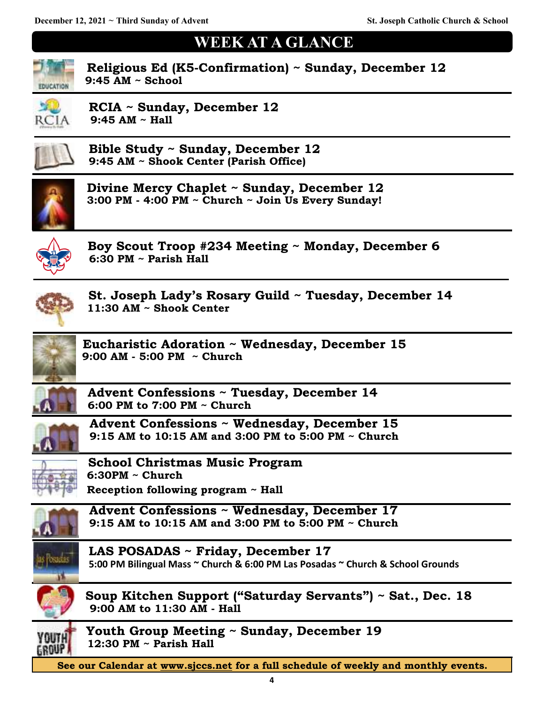# **WEEK AT A GLANCE**



 **Religious Ed (K5-Confirmation) ~ Sunday, December 12 9:45 AM ~ School** 



**RCIA ~ Sunday, December 12 9:45 AM ~ Hall**



 **Bible Study ~ Sunday, December 12 9:45 AM ~ Shook Center (Parish Office)**



 **Divine Mercy Chaplet ~ Sunday, December 12 3:00 PM - 4:00 PM ~ Church ~ Join Us Every Sunday!**



 **Boy Scout Troop #234 Meeting ~ Monday, December 6 6:30 PM ~ Parish Hall** 



 **St. Joseph Lady's Rosary Guild ~ Tuesday, December 14 11:30 AM ~ Shook Center**



**Eucharistic Adoration ~ Wednesday, December 15 9:00 AM - 5:00 PM ~ Church**



 **Advent Confessions ~ Tuesday, December 14 6:00 PM to 7:00 PM ~ Church**



 **Advent Confessions ~ Wednesday, December 15 9:15 AM to 10:15 AM and 3:00 PM to 5:00 PM ~ Church**



 **School Christmas Music Program 6:30PM ~ Church**

 **Reception following program ~ Hall**



 **Advent Confessions ~ Wednesday, December 17 9:15 AM to 10:15 AM and 3:00 PM to 5:00 PM ~ Church**



 **LAS POSADAS ~ Friday, December 17 5:00 PM Bilingual Mass ~ Church & 6:00 PM Las Posadas ~ Church & School Grounds**



 **Soup Kitchen Support ("Saturday Servants") ~ Sat., Dec. 18 9:00 AM to 11:30 AM - Hall**



Youth Group Meeting ~ Sunday, December 19 **12:30 PM ~ Parish Hall** 

**See our Calendar at [www.sjccs.net](http://www.sjccs.net) for a full schedule of weekly and monthly events.**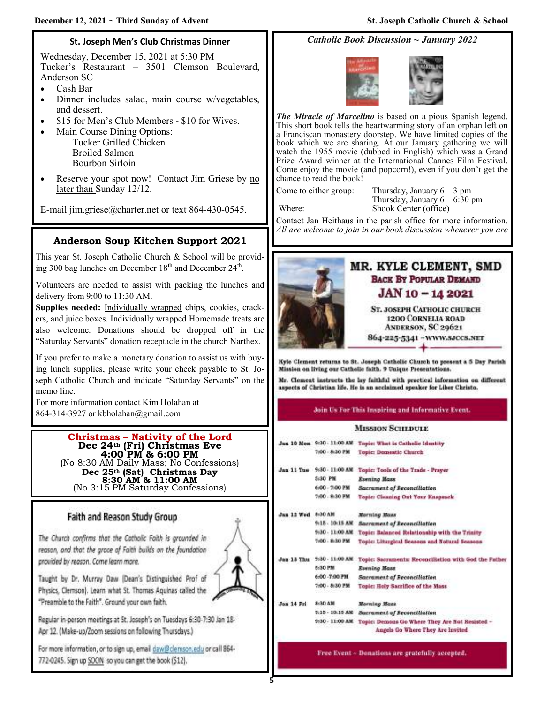# **St. Joseph Men's Club Christmas Dinner**

Wednesday, December 15, 2021 at 5:30 PM Tucker's Restaurant – 3501 Clemson Boulevard, Anderson SC

- Cash Bar
- Dinner includes salad, main course w/vegetables, and dessert.
- \$15 for Men's Club Members \$10 for Wives.
- Main Course Dining Options: Tucker Grilled Chicken Broiled Salmon Bourbon Sirloin
- Reserve your spot now! Contact Jim Griese by no later than Sunday 12/12.

E-mail [jim.griese@charter.net](mailto:jim.griese@charter.net) or text 864-430-0545.

# **Anderson Soup Kitchen Support 2021**

This year St. Joseph Catholic Church & School will be providing 300 bag lunches on December  $18<sup>th</sup>$  and December  $24<sup>th</sup>$ .

Volunteers are needed to assist with packing the lunches and delivery from 9:00 to 11:30 AM.

Supplies needed: Individually wrapped chips, cookies, crackers, and juice boxes. Individually wrapped Homemade treats are also welcome. Donations should be dropped off in the "Saturday Servants" donation receptacle in the church Narthex.

If you prefer to make a monetary donation to assist us with buying lunch supplies, please write your check payable to St. Joseph Catholic Church and indicate "Saturday Servants" on the memo line.

For more information contact Kim Holahan at 864-314-3927 or kbholahan@gmail.com

#### **Christmas – Nativity of the Lord Dec 24th (Fri) Christmas Eve 4:00 PM & 6:00 PM**  (No 8:30 AM Daily Mass; No Confessions)

**Dec 25th (Sat) Christmas Day 8:30 AM & 11:00 AM** (No 3:15 PM Saturday Confessions)

# Faith and Reason Study Group

The Church confirms that the Catholic Faith is grounded in reason, and that the grace of Faith builds on the foundation provided by reason. Came learn more.



Taught by Dr. Murray Daw (Dean's Distinguished Prof of Physics, Clemson]. Learn what St. Thomas Aquinas called the "Preamble to the Faith". Ground your own faith.

Regular in-person meetings at St. Joseph's on Tuesdays 6:30-7:30 Jan 18-Apr 12. (Make-up/Zoom sessions on following Thursdays.)

For more information, or to sign up, email daw@clemson.edu or call 864-772-0245. Sign up SOON so you can get the book (\$12).

# *Catholic Book Discussion ~ January 2022*



*The Miracle of Marcelino* is based on a pious Spanish legend. This short book tells the heartwarming story of an orphan left on a Franciscan monastery doorstep. We have limited copies of the book which we are sharing. At our January gathering we will watch the 1955 movie (dubbed in English) which was a Grand Prize Award winner at the International Cannes Film Festival. Come enjoy the movie (and popcorn!), even if you don't get the chance to read the book!

Come to either group: Thursday, January 6 3 pm Thursday, January 6 6:30 pm Where: Shook Center (office)

Contact Jan Heithaus in the parish office for more information. *All are welcome to join in our book discussion whenever you are* 



#### Join Us For This Inspiring and Informative Event.

#### **MISSION SCHEDULE**

|                 | Topic: What is Catholic Identity                      |
|-----------------|-------------------------------------------------------|
| 7/00 - 8:30 PM  | Topic: Domestic Church                                |
| 9:30 - 11:00 AM | Topic: Tools of the Trade - Prayer                    |
| 5:30 PM         | Evening Mass                                          |
| 6:00 - 7:00 PM  | <b>Sacrament of Reconciliation</b>                    |
| 7/00 - 8:30 PM  | Topic: Cleaning Out Your Knapsack                     |
| 8-30 AM         | <b>Marning Mass</b>                                   |
| 9:15 - 10:15 AM | <b>Sacrament of Reconcillation</b>                    |
| 9:30 - 11:00 AM | Topic: Balanced Relationship with the Trinity         |
| 1-00 - 8-30 PM  | Topic: Liturgical Seasons and Natural Seasons         |
| 9:30 - 11:00 AM | Topic: Sacraments: Reconciliation with God the Father |
| 8:30 PM         | Evening Mass                                          |
| 6:00 - 7:00 PM  | <b>Sacrament of Reconciliation</b>                    |
| 7:00 - 8:30 严禁  | Topic: Holy Sacrifice of the Mass                     |
| 8:30 AM         | Norning Mass                                          |
| 9:15 - 10:15 AM | <b>Sacrament of Reconciliation</b>                    |
| 9:30 - 11:00 AM | Topic: Demous Go Where They Are Not Resisted -        |
|                 | Angels Go Where They Are invited                      |
|                 | Jan 10 Mon 9:30 - 11:00 AM<br>Jan 11 Tue              |

Free Event - Donations are gratefully accepted.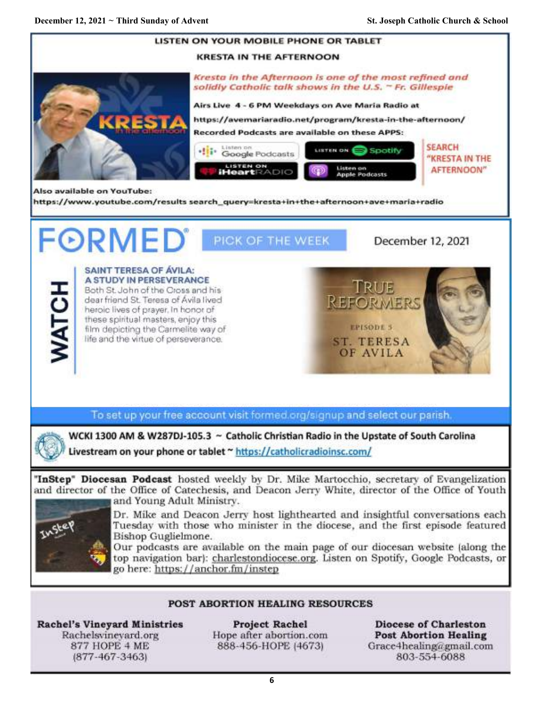

Rachelsvineyard.org 877 HOPE 4 ME  $(877-467-3463)$ 

Hope after abortion.com 888-456-HOPE (4673)

**Post Abortion Healing** Grace4healing@gmail.com 803-554-6088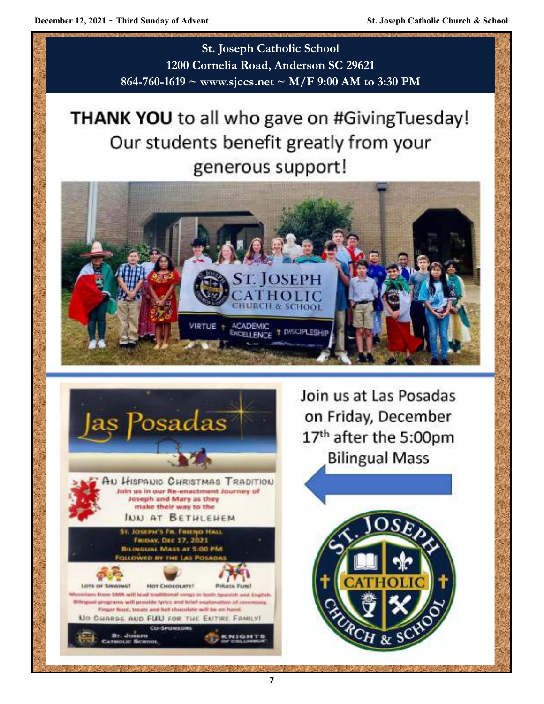**St. Joseph Catholic School 1200 Cornelia Road, Anderson SC 29621 864-760-1619 ~ [www.sjccs.net](http://www.sjccs.net) ~ M/F 9:00 AM to 3:30 PM**

# THANK YOU to all who gave on #GivingTuesday! Our students benefit greatly from your generous support!





Join us at Las Posadas on Friday, December 17th after the 5:00pm **Bilingual Mass** 

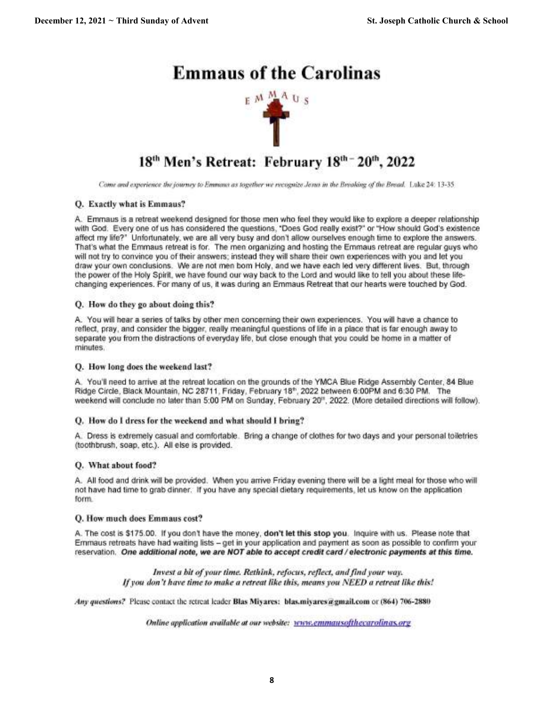# **Emmaus of the Carolinas**



# 18th Men's Retreat: February 18th - 20th, 2022

Come and experience the journey to Emmans as together we recognize Jerus in the Breaking of the Bread. Luke 24: 13-35

## O. Exactly what is Emmaus?

A. Emmaus is a retreat weekend designed for those men who feel they would like to explore a deeper relationship with God. Every one of us has considered the questions, "Does God really exist?" or "How should God's existence affect my life?" Unfortunately, we are all very busy and don't allow ourselves enough time to explore the answers. That's what the Emmaus retreat is for. The men organizing and hosting the Emmaus retreat are regular guys who will not try to convince you of their answers; instead they will share their own experiences with you and let you draw your own conclusions. We are not men bom Holy, and we have each led very different lives. But, through the power of the Holy Spirit, we have found our way back to the Lord and would like to tell you about these lifechanging experiences. For many of us, it was during an Emmaus Retreat that our hearts were touched by God.

## Q. How do they go about doing this?

A. You will hear a series of talks by other men concerning their own experiences. You will have a chance to reflect, pray, and consider the bigger, really meaningful questions of life in a place that is far enough away to separate you from the distractions of everyday life, but close enough that you could be home in a matter of minutes.

## Q. How long does the weekend last?

A. You'll need to arrive at the retreat location on the grounds of the YMCA Blue Ridge Assembly Center, 84 Blue Ridge Circle, Black Mountain, NC 28711, Friday, February 18<sup>e</sup>, 2022 between 6:00PM and 6:30 PM. The weekend will conclude no later than 5:00 PM on Sunday, February 20<sup>th</sup>, 2022. (More detailed directions will follow).

## Q. How do I dress for the weekend and what should I bring?

A. Dress is extremely casual and comfortable. Bring a change of clothes for two days and your personal toiletries (toothbrush, soap, etc.). All else is provided.

## Q. What about food?

A. All food and drink will be provided. When you arrive Friday evening there will be a light meal for those who will not have had time to grab dinner. If you have any special dietary requirements, let us know on the application form.

## Q. How much does Emmaus cost?

A. The cost is \$175.00. If you don't have the money, don't let this stop you. Inquire with us. Please note that Emmaus retreats have had waiting lists - get in your application and payment as soon as possible to confirm your reservation. One additional note, we are NOT able to accept credit card / electronic payments at this time.

> Invest a bit of your time. Rethink, refocus, reflect, and find your way. If you don't have time to make a retreat like this, means you NEED a retreat like this!

Any questions? Please contact the retreat leader Blas Miyares: blas.miyares@gmail.com or (864) 706-2880

Online application available at our website: www.emmausofthecarolinas.org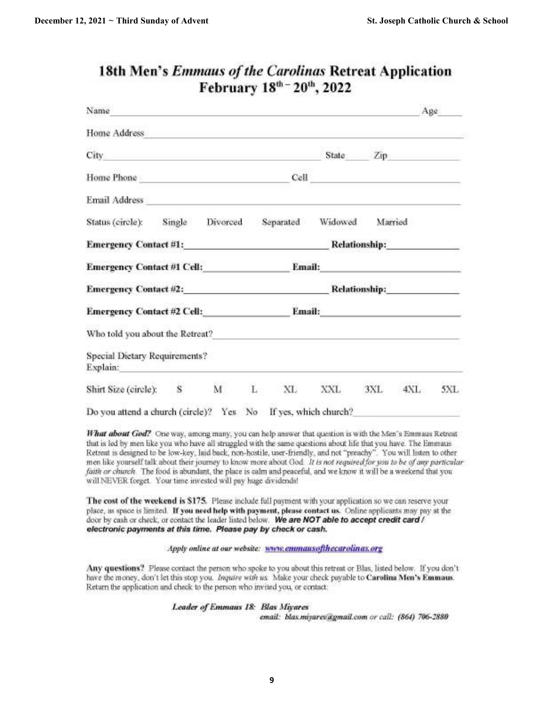| Name                                                                                                                                                                                                                           |                                                                                                                                                                                                                                                         |           |                                                                                                                                                                                                                                      |         | Age                  |     |
|--------------------------------------------------------------------------------------------------------------------------------------------------------------------------------------------------------------------------------|---------------------------------------------------------------------------------------------------------------------------------------------------------------------------------------------------------------------------------------------------------|-----------|--------------------------------------------------------------------------------------------------------------------------------------------------------------------------------------------------------------------------------------|---------|----------------------|-----|
| Home Address and the contract of the contract of the contract of the contract of the contract of the contract of the contract of the contract of the contract of the contract of the contract of the contract of the contract  |                                                                                                                                                                                                                                                         |           |                                                                                                                                                                                                                                      |         |                      |     |
| City of the contract of the contract of the contract of the contract of the contract of the contract of the contract of the contract of the contract of the contract of the contract of the contract of the contract of the co |                                                                                                                                                                                                                                                         |           | State                                                                                                                                                                                                                                |         | Zip                  |     |
| Home Phone                                                                                                                                                                                                                     |                                                                                                                                                                                                                                                         |           | Cell and the contract of the contract of the contract of the contract of the contract of the contract of the contract of the contract of the contract of the contract of the contract of the contract of the contract of the c       |         |                      |     |
| Email Address <b>Email Address</b>                                                                                                                                                                                             |                                                                                                                                                                                                                                                         |           |                                                                                                                                                                                                                                      |         |                      |     |
| Status (circle): Single                                                                                                                                                                                                        | Divorced                                                                                                                                                                                                                                                | Separated | Widowed                                                                                                                                                                                                                              | Married |                      |     |
| Emergency Contact #1:                                                                                                                                                                                                          |                                                                                                                                                                                                                                                         |           |                                                                                                                                                                                                                                      |         | <b>Relationship:</b> |     |
| Emergency Contact #1 Cell: <b>Example 2014</b>                                                                                                                                                                                 |                                                                                                                                                                                                                                                         | Email:    | <u> The Communication of the Communication of the Communication of the Communication of the Communication of the Communication of the Communication of the Communication of the Communication of the Communication of the Commun</u> |         |                      |     |
|                                                                                                                                                                                                                                | Emergency Contact #2:<br>Relationship: The control of the control of the control of the control of the control of the control of the control of the control of the control of the control of the control of the control of the control of the control o |           |                                                                                                                                                                                                                                      |         |                      |     |
|                                                                                                                                                                                                                                |                                                                                                                                                                                                                                                         |           | Email: New York Street, New York Street, New York Street, New York Street, New York Street, New York Street, New York Street, New York Street, New York Street, New York Street, New York Street, New York Street, New York St       |         |                      |     |
| Who told you about the Retreat?                                                                                                                                                                                                |                                                                                                                                                                                                                                                         |           |                                                                                                                                                                                                                                      |         |                      |     |
| Special Dietary Requirements?<br>Explain:                                                                                                                                                                                      |                                                                                                                                                                                                                                                         |           |                                                                                                                                                                                                                                      |         |                      |     |
| Shirt Size (circle): S M                                                                                                                                                                                                       |                                                                                                                                                                                                                                                         | L XL      | XXL                                                                                                                                                                                                                                  | 3XL     | 4XL                  | 5XL |
| Do you attend a church (circle)? Yes No                                                                                                                                                                                        |                                                                                                                                                                                                                                                         |           | If yes, which church?                                                                                                                                                                                                                |         |                      |     |

# **18th Men's Emmaus of the Carolinas Retreat Application** February 18th - 20th, 2022

What about God? One way, among many, you can help answer that question is with the Men's Emmaus Retreat that is led by men like you who have all struggled with the same questions about life that you have. The Emmaus Retreat is designed to be low-key, laid back, non-hostile, user-friendly, and not "preachy". You will listen to other men like yourself talk about their journey to know more about God. It is not required for you to be of any particular faith or church. The food is abundant, the place is calm and peaceful, and we know it will be a weekend that you will NEVER forget. Your time invested will psy huge dividends!

The cost of the weekend is \$175. Please include full payment with your application so we can reserve your place, as space is limited. If you need help with payment, please contact us. Online applicants may pay at the door by cash or check, or contact the leader listed below. We are NOT able to accept credit card / electronic payments at this time. Please pay by check or cash.

Apply online at our website: www.emmausofthecarolinas.org

Any questions? Please contact the person who spoke to you about this retreat or Blas, listed below. If you don't have the money, don't let this stop you. Impure with us. Make your check payable to Carolina Men's Emmaus. Return the application and check to the person who invited you, or contact:

> Leader of Emmaus 18: Blas Miyares email: blas.miyares@gmail.com or call: (864) 706-2880